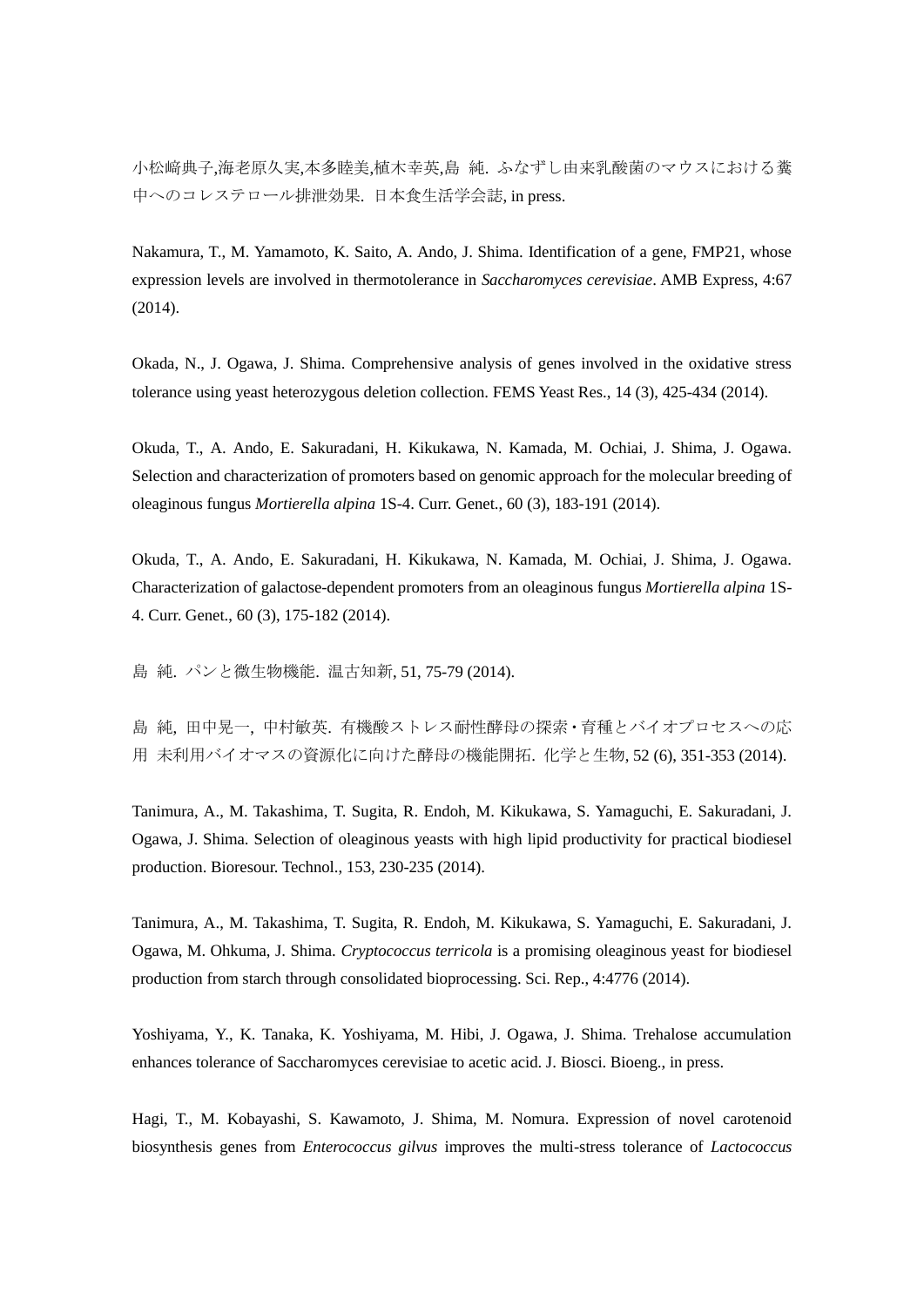小松﨑典子,海老原久実,本多睦美,植木幸英,島 純. ふなずし由来乳酸菌のマウスにおける糞 中へのコレステロール排泄効果. 日本食生活学会誌, in press.

Nakamura, T., M. Yamamoto, K. Saito, A. Ando, J. Shima. Identification of a gene, FMP21, whose expression levels are involved in thermotolerance in *Saccharomyces cerevisiae*. AMB Express, 4:67 (2014).

Okada, N., J. Ogawa, J. Shima. Comprehensive analysis of genes involved in the oxidative stress tolerance using yeast heterozygous deletion collection. FEMS Yeast Res., 14 (3), 425-434 (2014).

Okuda, T., A. Ando, E. Sakuradani, H. Kikukawa, N. Kamada, M. Ochiai, J. Shima, J. Ogawa. Selection and characterization of promoters based on genomic approach for the molecular breeding of oleaginous fungus *Mortierella alpina* 1S-4. Curr. Genet., 60 (3), 183-191 (2014).

Okuda, T., A. Ando, E. Sakuradani, H. Kikukawa, N. Kamada, M. Ochiai, J. Shima, J. Ogawa. Characterization of galactose-dependent promoters from an oleaginous fungus *Mortierella alpina* 1S-4. Curr. Genet., 60 (3), 175-182 (2014).

島 純. パンと微生物機能. 温古知新, 51, 75-79 (2014).

島 純, 田中晃一, 中村敏英. 有機酸ストレス耐性酵母の探索・育種とバイオプロセスへの応 用 未利用バイオマスの資源化に向けた酵母の機能開拓. 化学と生物, 52 (6), 351-353 (2014).

Tanimura, A., M. Takashima, T. Sugita, R. Endoh, M. Kikukawa, S. Yamaguchi, E. Sakuradani, J. Ogawa, J. Shima. Selection of oleaginous yeasts with high lipid productivity for practical biodiesel production. Bioresour. Technol., 153, 230-235 (2014).

Tanimura, A., M. Takashima, T. Sugita, R. Endoh, M. Kikukawa, S. Yamaguchi, E. Sakuradani, J. Ogawa, M. Ohkuma, J. Shima. *Cryptococcus terricola* is a promising oleaginous yeast for biodiesel production from starch through consolidated bioprocessing. Sci. Rep., 4:4776 (2014).

Yoshiyama, Y., K. Tanaka, K. Yoshiyama, M. Hibi, J. Ogawa, J. Shima. Trehalose accumulation enhances tolerance of Saccharomyces cerevisiae to acetic acid. J. Biosci. Bioeng., in press.

Hagi, T., M. Kobayashi, S. Kawamoto, J. Shima, M. Nomura. Expression of novel carotenoid biosynthesis genes from *Enterococcus gilvus* improves the multi-stress tolerance of *Lactococcus*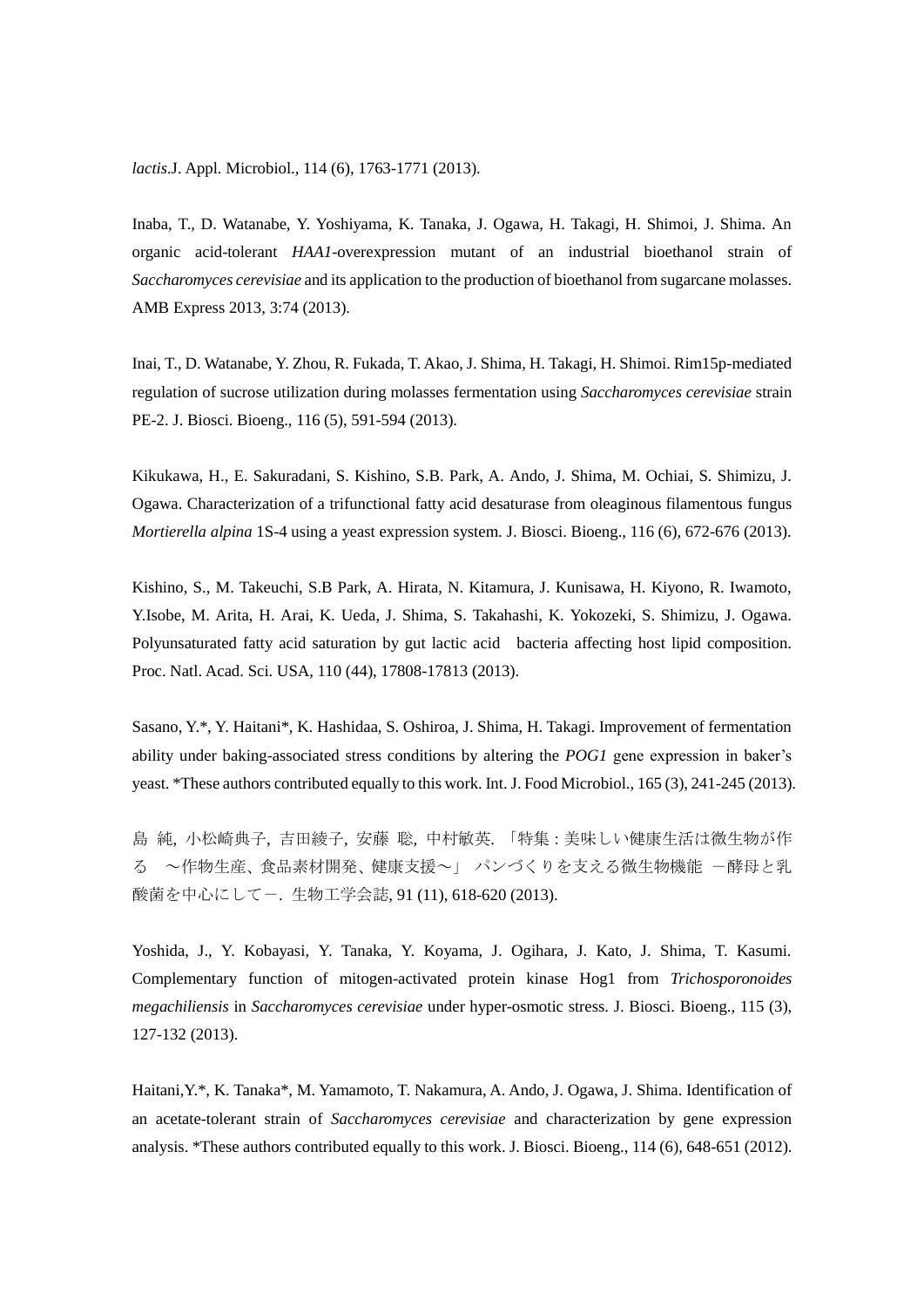*lactis*.J. Appl. Microbiol., 114 (6), 1763-1771 (2013).

Inaba, T., D. Watanabe, Y. Yoshiyama, K. Tanaka, J. Ogawa, H. Takagi, H. Shimoi, J. Shima. An organic acid-tolerant *HAA1*-overexpression mutant of an industrial bioethanol strain of *Saccharomyces cerevisiae* and its application to the production of bioethanol from sugarcane molasses. AMB Express 2013, 3:74 (2013).

Inai, T., D. Watanabe, Y. Zhou, R. Fukada, T. Akao, J. Shima, H. Takagi, H. Shimoi. Rim15p-mediated regulation of sucrose utilization during molasses fermentation using *Saccharomyces cerevisiae* strain PE-2. J. Biosci. Bioeng., 116 (5), 591-594 (2013).

Kikukawa, H., E. Sakuradani, S. Kishino, S.B. Park, A. Ando, J. Shima, M. Ochiai, S. Shimizu, J. Ogawa. Characterization of a trifunctional fatty acid desaturase from oleaginous filamentous fungus *Mortierella alpina* 1S-4 using a yeast expression system. J. Biosci. Bioeng., 116 (6), 672-676 (2013).

Kishino, S., M. Takeuchi, S.B Park, A. Hirata, N. Kitamura, J. Kunisawa, H. Kiyono, R. Iwamoto, Y.Isobe, M. Arita, H. Arai, K. Ueda, J. Shima, S. Takahashi, K. Yokozeki, S. Shimizu, J. Ogawa. Polyunsaturated fatty acid saturation by gut lactic acid bacteria affecting host lipid composition. Proc. Natl. Acad. Sci. USA, 110 (44), 17808-17813 (2013).

Sasano, Y.\*, Y. Haitani\*, K. Hashidaa, S. Oshiroa, J. Shima, H. Takagi. Improvement of fermentation ability under baking-associated stress conditions by altering the *POG1* gene expression in baker's yeast. \*These authors contributed equally to this work. Int. J. Food Microbiol., 165 (3), 241-245 (2013).

島 純, 小松崎典子, 吉田綾子, 安藤 聡, 中村敏英. 「特集:美味しい健康生活は微生物が作 る ~作物生産、食品素材開発、健康支援~」 パンづくりを支える微生物機能 一酵母と乳 酸菌を中心にして-. 生物工学会誌, 91 (11), 618-620 (2013).

Yoshida, J., Y. Kobayasi, Y. Tanaka, Y. Koyama, J. Ogihara, J. Kato, J. Shima, T. Kasumi. Complementary function of mitogen-activated protein kinase Hog1 from *Trichosporonoides megachiliensis* in *Saccharomyces cerevisiae* under hyper-osmotic stress. J. Biosci. Bioeng., 115 (3), 127-132 (2013).

Haitani,Y.\*, K. Tanaka\*, M. Yamamoto, T. Nakamura, A. Ando, J. Ogawa, J. Shima. Identification of an acetate-tolerant strain of *Saccharomyces cerevisiae* and characterization by gene expression analysis. \*These authors contributed equally to this work. J. Biosci. Bioeng., 114 (6), 648-651 (2012).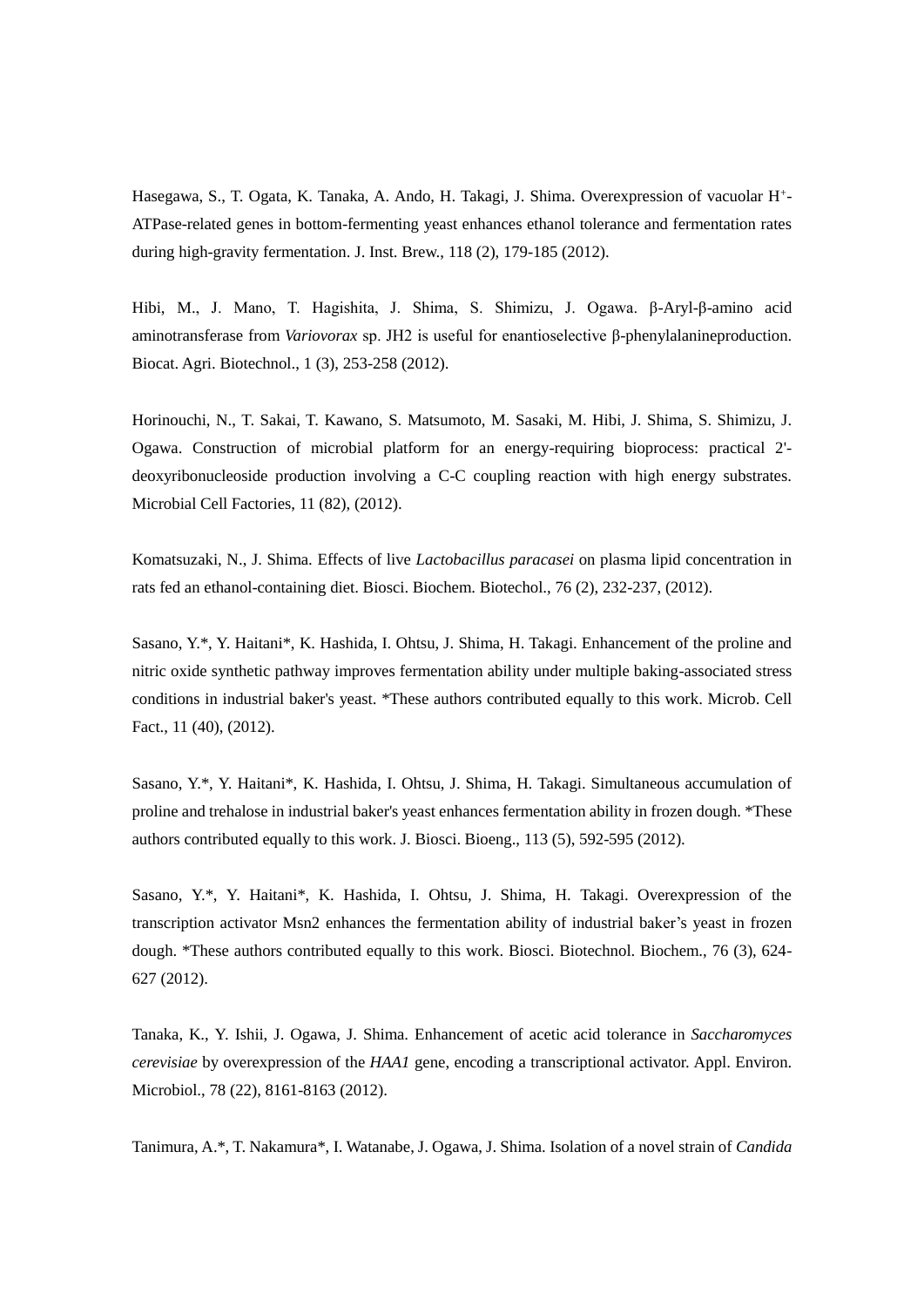Hasegawa, S., T. Ogata, K. Tanaka, A. Ando, H. Takagi, J. Shima. Overexpression of vacuolar H<sup>+</sup>-ATPase-related genes in bottom-fermenting yeast enhances ethanol tolerance and fermentation rates during high-gravity fermentation. J. Inst. Brew., 118 (2), 179-185 (2012).

Hibi, M., J. Mano, T. Hagishita, J. Shima, S. Shimizu, J. Ogawa. β-Aryl-β-amino acid aminotransferase from *Variovorax* sp. JH2 is useful for enantioselective β-phenylalanineproduction. Biocat. Agri. Biotechnol., 1 (3), 253-258 (2012).

Horinouchi, N., T. Sakai, T. Kawano, S. Matsumoto, M. Sasaki, M. Hibi, J. Shima, S. Shimizu, J. Ogawa. Construction of microbial platform for an energy-requiring bioprocess: practical 2' deoxyribonucleoside production involving a C-C coupling reaction with high energy substrates. Microbial Cell Factories, 11 (82), (2012).

Komatsuzaki, N., J. Shima. Effects of live *Lactobacillus paracasei* on plasma lipid concentration in rats fed an ethanol-containing diet. Biosci. Biochem. Biotechol., 76 (2), 232-237, (2012).

Sasano, Y.\*, Y. Haitani\*, K. Hashida, I. Ohtsu, J. Shima, H. Takagi. Enhancement of the proline and nitric oxide synthetic pathway improves fermentation ability under multiple baking-associated stress conditions in industrial baker's yeast. \*These authors contributed equally to this work. Microb. Cell Fact., 11 (40), (2012).

Sasano, Y.\*, Y. Haitani\*, K. Hashida, I. Ohtsu, J. Shima, H. Takagi. Simultaneous accumulation of proline and trehalose in industrial baker's yeast enhances fermentation ability in frozen dough. \*These authors contributed equally to this work. J. Biosci. Bioeng., 113 (5), 592-595 (2012).

Sasano, Y.\*, Y. Haitani\*, K. Hashida, I. Ohtsu, J. Shima, H. Takagi. Overexpression of the transcription activator Msn2 enhances the fermentation ability of industrial baker's yeast in frozen dough. \*These authors contributed equally to this work. Biosci. Biotechnol. Biochem., 76 (3), 624- 627 (2012).

Tanaka, K., Y. Ishii, J. Ogawa, J. Shima. Enhancement of acetic acid tolerance in *Saccharomyces cerevisiae* by overexpression of the *HAA1* gene, encoding a transcriptional activator. Appl. Environ. Microbiol., 78 (22), 8161-8163 (2012).

Tanimura, A.\*, T. Nakamura\*, I. Watanabe, J. Ogawa, J. Shima. Isolation of a novel strain of *Candida*